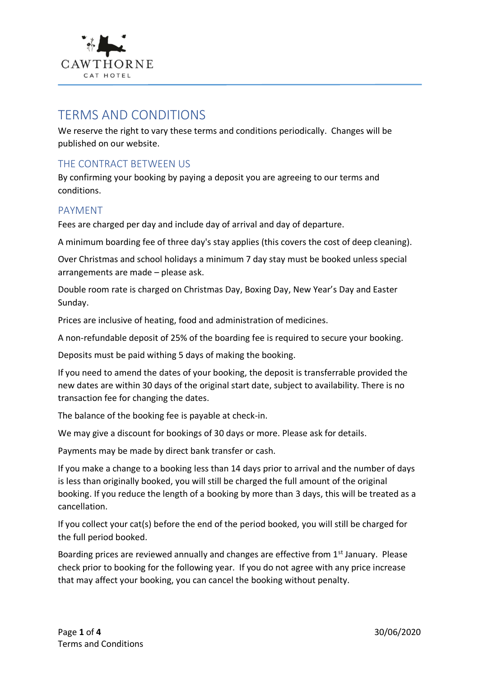

# TERMS AND CONDITIONS

We reserve the right to vary these terms and conditions periodically. Changes will be published on our website.

# THE CONTRACT BETWEEN US

By confirming your booking by paying a deposit you are agreeing to our terms and conditions.

### PAYMENT

Fees are charged per day and include day of arrival and day of departure.

A minimum boarding fee of three day's stay applies (this covers the cost of deep cleaning).

Over Christmas and school holidays a minimum 7 day stay must be booked unless special arrangements are made – please ask.

Double room rate is charged on Christmas Day, Boxing Day, New Year's Day and Easter Sunday.

Prices are inclusive of heating, food and administration of medicines.

A non-refundable deposit of 25% of the boarding fee is required to secure your booking.

Deposits must be paid withing 5 days of making the booking.

If you need to amend the dates of your booking, the deposit is transferrable provided the new dates are within 30 days of the original start date, subject to availability. There is no transaction fee for changing the dates.

The balance of the booking fee is payable at check-in.

We may give a discount for bookings of 30 days or more. Please ask for details.

Payments may be made by direct bank transfer or cash.

If you make a change to a booking less than 14 days prior to arrival and the number of days is less than originally booked, you will still be charged the full amount of the original booking. If you reduce the length of a booking by more than 3 days, this will be treated as a cancellation.

If you collect your cat(s) before the end of the period booked, you will still be charged for the full period booked.

Boarding prices are reviewed annually and changes are effective from 1<sup>st</sup> January. Please check prior to booking for the following year. If you do not agree with any price increase that may affect your booking, you can cancel the booking without penalty.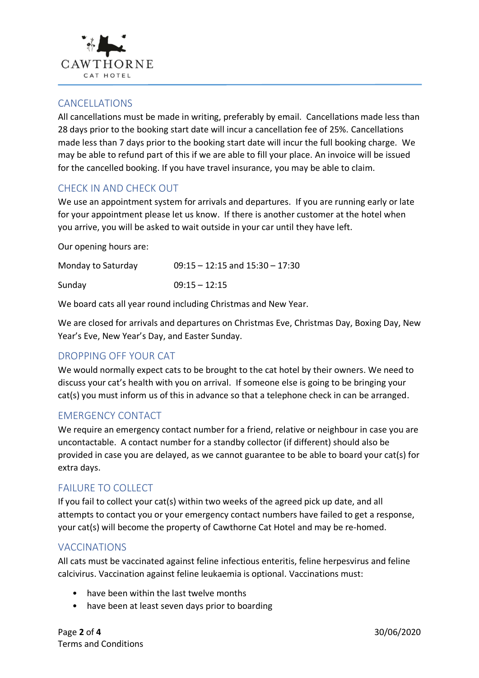

#### CANCELLATIONS

All cancellations must be made in writing, preferably by email. Cancellations made less than 28 days prior to the booking start date will incur a cancellation fee of 25%. Cancellations made less than 7 days prior to the booking start date will incur the full booking charge. We may be able to refund part of this if we are able to fill your place. An invoice will be issued for the cancelled booking. If you have travel insurance, you may be able to claim.

## CHECK IN AND CHECK OUT

We use an appointment system for arrivals and departures. If you are running early or late for your appointment please let us know. If there is another customer at the hotel when you arrive, you will be asked to wait outside in your car until they have left.

Our opening hours are:

| Monday to Saturday | $09:15 - 12:15$ and $15:30 - 17:30$ |
|--------------------|-------------------------------------|
| Sunday             | $09:15 - 12:15$                     |

We board cats all year round including Christmas and New Year.

We are closed for arrivals and departures on Christmas Eve, Christmas Day, Boxing Day, New Year's Eve, New Year's Day, and Easter Sunday.

### DROPPING OFF YOUR CAT

We would normally expect cats to be brought to the cat hotel by their owners. We need to discuss your cat's health with you on arrival. If someone else is going to be bringing your cat(s) you must inform us of this in advance so that a telephone check in can be arranged.

## EMERGENCY CONTACT

We require an emergency contact number for a friend, relative or neighbour in case you are uncontactable. A contact number for a standby collector (if different) should also be provided in case you are delayed, as we cannot guarantee to be able to board your cat(s) for extra days.

### FAILURE TO COLLECT

If you fail to collect your cat(s) within two weeks of the agreed pick up date, and all attempts to contact you or your emergency contact numbers have failed to get a response, your cat(s) will become the property of Cawthorne Cat Hotel and may be re-homed.

### VACCINATIONS

All cats must be vaccinated against feline infectious enteritis, feline herpesvirus and feline calcivirus. Vaccination against feline leukaemia is optional. Vaccinations must:

- have been within the last twelve months
- have been at least seven days prior to boarding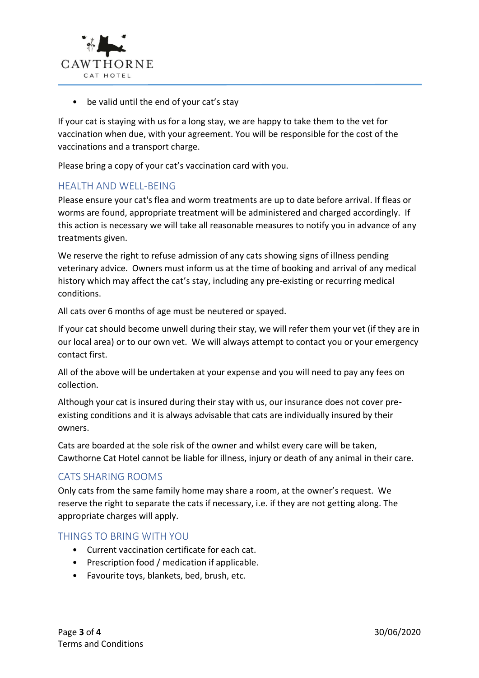

• be valid until the end of your cat's stay

If your cat is staying with us for a long stay, we are happy to take them to the vet for vaccination when due, with your agreement. You will be responsible for the cost of the vaccinations and a transport charge.

Please bring a copy of your cat's vaccination card with you.

### HEALTH AND WELL-BEING

Please ensure your cat's flea and worm treatments are up to date before arrival. If fleas or worms are found, appropriate treatment will be administered and charged accordingly. If this action is necessary we will take all reasonable measures to notify you in advance of any treatments given.

We reserve the right to refuse admission of any cats showing signs of illness pending veterinary advice. Owners must inform us at the time of booking and arrival of any medical history which may affect the cat's stay, including any pre-existing or recurring medical conditions.

All cats over 6 months of age must be neutered or spayed.

If your cat should become unwell during their stay, we will refer them your vet (if they are in our local area) or to our own vet. We will always attempt to contact you or your emergency contact first.

All of the above will be undertaken at your expense and you will need to pay any fees on collection.

Although your cat is insured during their stay with us, our insurance does not cover preexisting conditions and it is always advisable that cats are individually insured by their owners.

Cats are boarded at the sole risk of the owner and whilst every care will be taken, Cawthorne Cat Hotel cannot be liable for illness, injury or death of any animal in their care.

### CATS SHARING ROOMS

Only cats from the same family home may share a room, at the owner's request. We reserve the right to separate the cats if necessary, i.e. if they are not getting along. The appropriate charges will apply.

#### THINGS TO BRING WITH YOU

- Current vaccination certificate for each cat.
- Prescription food / medication if applicable.
- Favourite toys, blankets, bed, brush, etc.